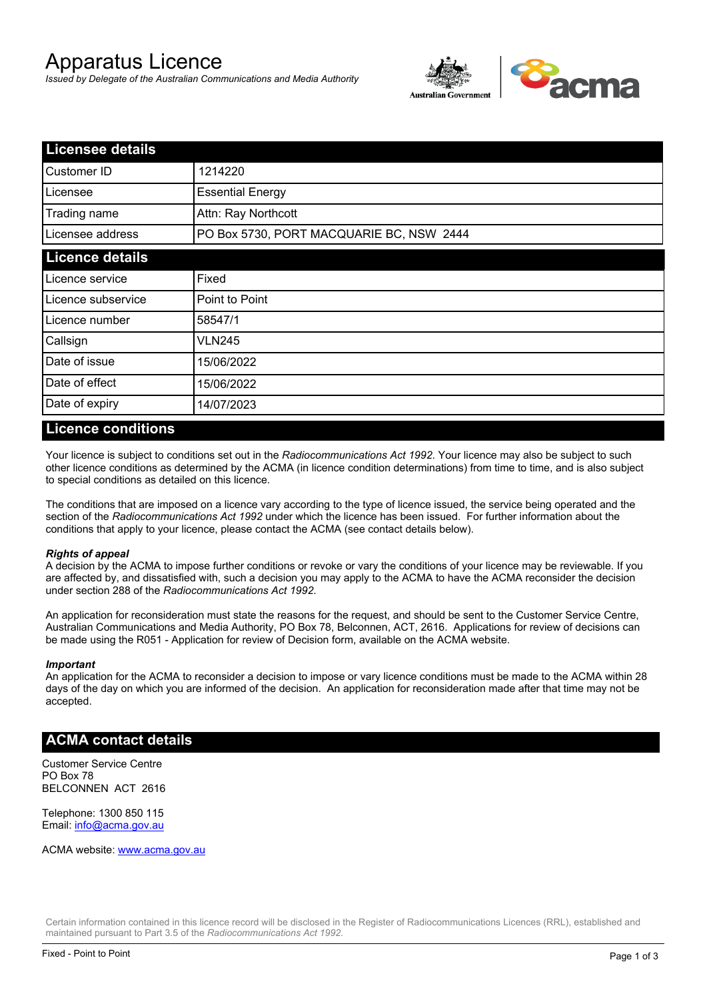# Apparatus Licence

*Issued by Delegate of the Australian Communications and Media Authority*



| <b>Licensee details</b> |                                          |  |
|-------------------------|------------------------------------------|--|
| Customer ID             | 1214220                                  |  |
| Licensee                | <b>Essential Energy</b>                  |  |
| Trading name            | Attn: Ray Northcott                      |  |
| Licensee address        | PO Box 5730, PORT MACQUARIE BC, NSW 2444 |  |
| <b>Licence details</b>  |                                          |  |
| Licence service         | Fixed                                    |  |
| Licence subservice      | Point to Point                           |  |
| Licence number          | 58547/1                                  |  |
| Callsign                | <b>VLN245</b>                            |  |
| Date of issue           | 15/06/2022                               |  |
| Date of effect          | 15/06/2022                               |  |
| Date of expiry          | 14/07/2023                               |  |

#### **Licence conditions**

Your licence is subject to conditions set out in the *Radiocommunications Act 1992*. Your licence may also be subject to such other licence conditions as determined by the ACMA (in licence condition determinations) from time to time, and is also subject to special conditions as detailed on this licence.

The conditions that are imposed on a licence vary according to the type of licence issued, the service being operated and the section of the *Radiocommunications Act 1992* under which the licence has been issued. For further information about the conditions that apply to your licence, please contact the ACMA (see contact details below).

#### *Rights of appeal*

A decision by the ACMA to impose further conditions or revoke or vary the conditions of your licence may be reviewable. If you are affected by, and dissatisfied with, such a decision you may apply to the ACMA to have the ACMA reconsider the decision under section 288 of the *Radiocommunications Act 1992*.

An application for reconsideration must state the reasons for the request, and should be sent to the Customer Service Centre, Australian Communications and Media Authority, PO Box 78, Belconnen, ACT, 2616. Applications for review of decisions can be made using the R051 - Application for review of Decision form, available on the ACMA website.

#### *Important*

An application for the ACMA to reconsider a decision to impose or vary licence conditions must be made to the ACMA within 28 days of the day on which you are informed of the decision. An application for reconsideration made after that time may not be accepted.

#### **ACMA contact details**

Customer Service Centre PO Box 78 BELCONNEN ACT 2616

Telephone: 1300 850 115 Email: info@acma.gov.au

ACMA website: www.acma.gov.au

Certain information contained in this licence record will be disclosed in the Register of Radiocommunications Licences (RRL), established and maintained pursuant to Part 3.5 of the *Radiocommunications Act 1992.*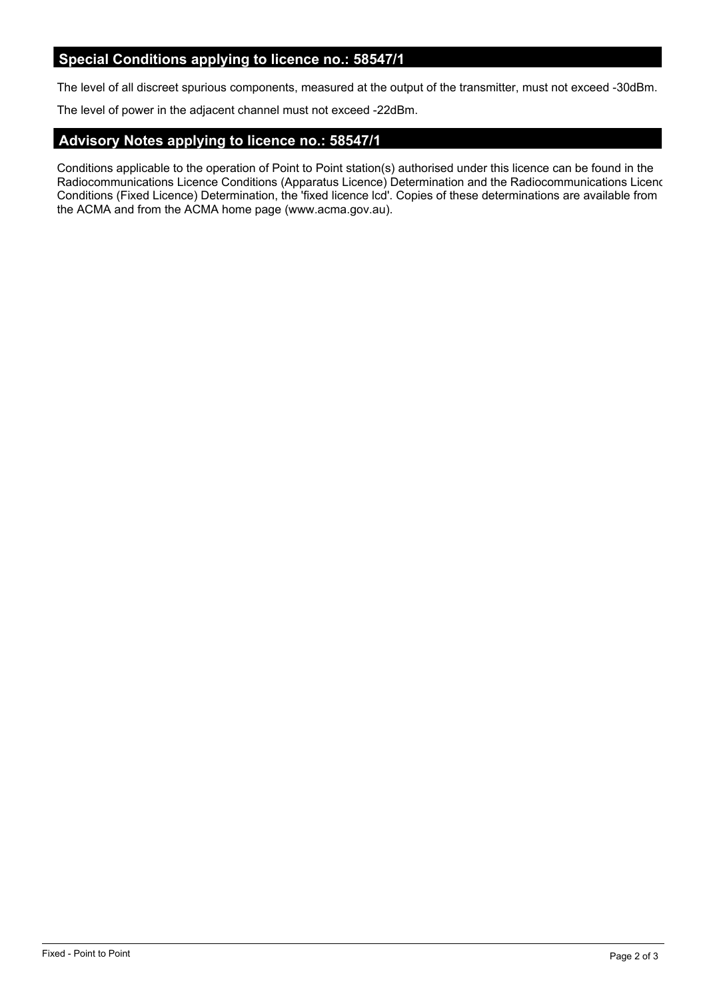## **Special Conditions applying to licence no.: 58547/1**

The level of all discreet spurious components, measured at the output of the transmitter, must not exceed -30dBm.

The level of power in the adjacent channel must not exceed -22dBm.

### **Advisory Notes applying to licence no.: 58547/1**

Conditions applicable to the operation of Point to Point station(s) authorised under this licence can be found in the Radiocommunications Licence Conditions (Apparatus Licence) Determination and the Radiocommunications Licence Conditions (Fixed Licence) Determination, the 'fixed licence lcd'. Copies of these determinations are available from the ACMA and from the ACMA home page (www.acma.gov.au).